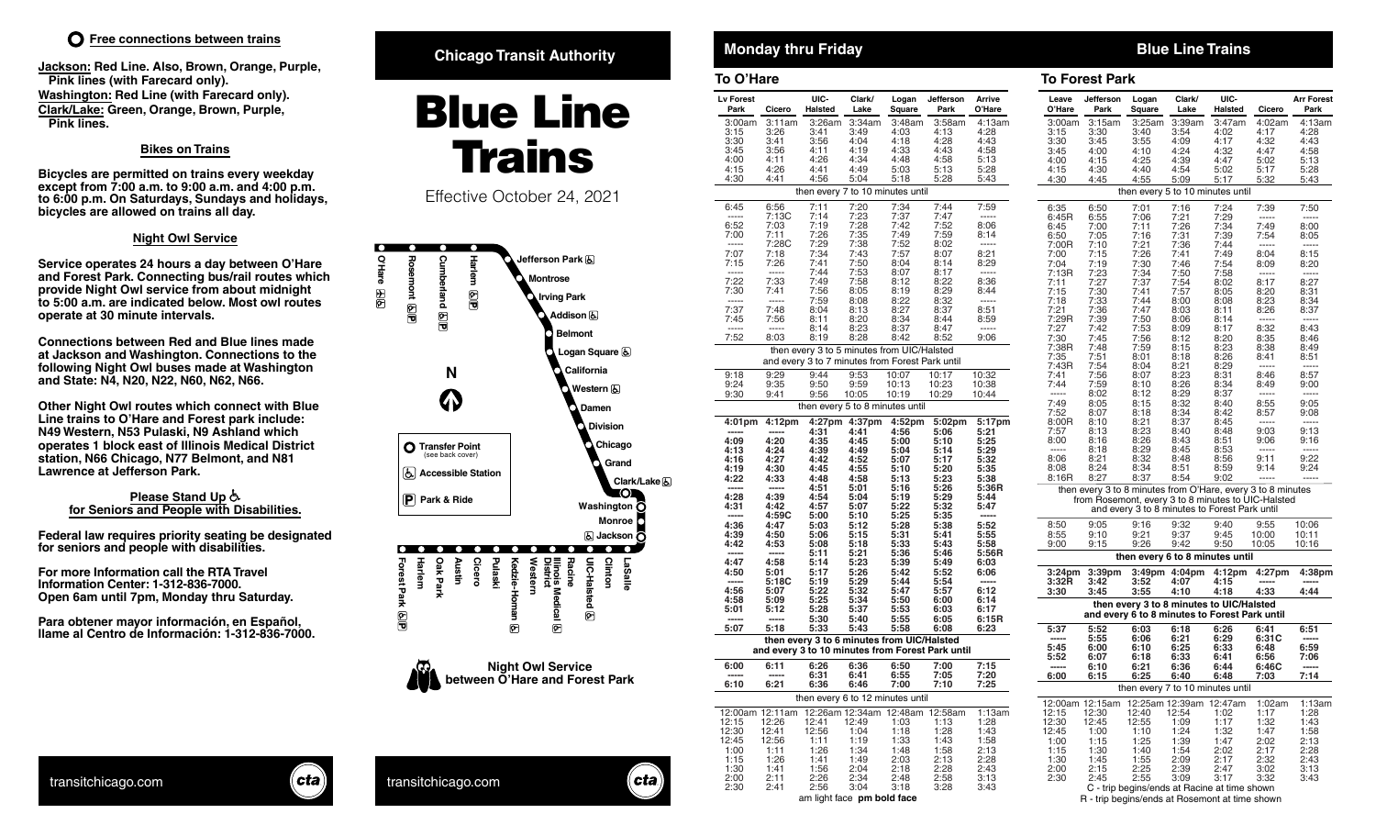**Jackson: Red Line. Also, Brown, Orange, Purple, Pink lines (with Farecard only). Washington: Red Line (with Farecard only). Clark/Lake: Green, Orange, Brown, Purple, Pink lines.**

## **Bikes on Trains**

**Bicycles are permitted on trains every weekday except from 7:00 a.m. to 9:00 a.m. and 4:00 p.m. to 6:00 p.m. On Saturdays, Sundays and holidays, bicycles are allowed on trains all day.** 

## **Night Owl Service**

**Service operates 24 hours a day between O'Hare and Forest Park. Connecting bus/rail routes which provide Night Owl service from about midnight to 5:00 a.m. are indicated below. Most owl routes operate at 30 minute intervals.**

**Connections between Red and Blue lines made at Jackson and Washington. Connections to the following Night Owl buses made at Washington and State: N4, N20, N22, N60, N62, N66.**

**Other Night Owl routes which connect with Blue Line trains to O'Hare and Forest park include: N49 Western, N53 Pulaski, N9 Ashland which operates 1 block east of Illinois Medical District station, N66 Chicago, N77 Belmont, and N81 Lawrence at Jefferson Park.**

## **Please Stand Up for Seniors and People with Disabilities.**

**Federal law requires priority seating be designated for seniors and people with disabilities.**

**For more Information call the RTA Travel Information Center: 1-312-836-7000. Open 6am until 7pm, Monday thru Saturday.**

**Para obtener mayor información, en Español, llame al Centro de Información: 1-312-836-7000.**

## **Chicago Transit Authority <b>Chicago Transit Authority Monday thru Friday Blue Line Trains**

# **Blue Line** Trains

Effective October 24, 2021





 $\mathsf{c}$ ta

| To O'Hare                |                    |                                                 |                |                 |                                                  |                  | <b>To Forest Park</b>    |                                     |          |
|--------------------------|--------------------|-------------------------------------------------|----------------|-----------------|--------------------------------------------------|------------------|--------------------------|-------------------------------------|----------|
| <b>Lv Forest</b><br>Park | Cicero             | UIC-<br>Halsted                                 | Clark/<br>Lake | Logan<br>Square | Jefferson<br>Park                                | Arrive<br>O'Hare | Leave<br>O'Hare          | Jefferson<br>Park                   | L<br>s   |
| 3:00am                   | 3:11am             | 3:26am                                          | 3:34am         | 3:48am          | 3:58am                                           | 4:13am           | 3:00am                   | 3:15am                              | 3        |
| 3:15                     | 3:26               | 3:41                                            | 3:49           | 4:03            | 4:13                                             | 4:28             | 3:15                     | 3:30                                | 3        |
| 3:30                     | 3:41               | 3:56                                            | 4:04           | 4:18            | 4:28                                             | 4:43             | 3:30                     | 3:45                                | 3        |
| 3:45                     | 3:56               | 4:11                                            | 4:19           | 4:33            | 4:43                                             | 4:58             | 3:45                     | 4:00                                | 4        |
| 4:00<br>4:15             | 4:11<br>4:26       | 4:26<br>4:41                                    | 4:34<br>4:49   | 4:48<br>5:03    | 4:58<br>5:13                                     | 5:13<br>5:28     | 4:00<br>4:15             | 4:15                                | 4<br>4   |
| 4:30                     | 4:41               | 4:56                                            | 5:04           | 5:18            | 5:28                                             | 5:43             | 4:30                     | 4:30<br>4:45                        | 4        |
|                          |                    | then every 7 to 10 minutes until                |                |                 |                                                  |                  |                          |                                     | then     |
| 6:45                     | 6:56               | 7:11                                            | 7:20           | 7:34            | 7:44                                             | 7:59             | 6:35                     | 6:50                                | 7        |
|                          | 7:13C              | 7:14                                            | 7:23           | 7:37            | 7:47                                             | -----            | 6:45R                    | 6:55                                | 7        |
| 6:52                     | 7:03               | 7:19                                            | 7:28           | 7:42            | 7:52                                             | 8:06             | 6:45                     | 7:00                                | 7        |
| 7:00<br>-----            | 7:11<br>7:28C      | 7:26                                            | 7:35           | 7:49            | 7:59                                             | 8:14             | 6:50                     | 7:05                                | 7        |
| 7:07                     | 7:18               | 7:29<br>7:34                                    | 7:38<br>7:43   | 7:52<br>7:57    | 8:02<br>8:07                                     | -----<br>8:21    | 7:00R<br>7:00            | 7:10<br>7:15                        | 7<br>7   |
| 7:15                     | 7:26               | 7:41                                            | 7:50           | 8:04            | 8:14                                             | 8:29             | 7:04                     | 7:19                                | 7        |
|                          | -----              | 7:44                                            | 7:53           | 8:07            | 8:17                                             |                  | 7:13R                    | 7:23                                | 7        |
| 7:22                     | 7:33               | 7:49                                            | 7:58           | 8:12            | 8:22                                             | 8:36             | 7:11                     | 7:27                                | 7        |
| 7:30                     | 7:41               | 7:56                                            | 8:05           | 8:19            | 8:29                                             | 8:44             | 7:15                     | 7:30                                | 7        |
| -----                    | -----              | 7:59                                            | 8:08           | 8:22            | 8:32                                             |                  | 7:18                     | 7:33                                | 7        |
| 7:37                     | 7:48               | 8:04                                            | 8:13           | 8:27            | 8:37                                             | 8:51             | 7:21                     | 7:36                                | 7<br>7   |
| 7:45<br>-----            | 7:56<br>$-----$    | 8:11<br>8:14                                    | 8:20<br>8:23   | 8:34<br>8:37    | 8:44<br>8:47                                     | 8:59<br>-----    | 7:29R<br>7:27            | 7:39<br>7:42                        | 7        |
| 7:52                     | 8:03               | 8:19                                            | 8:28           | 8:42            | 8:52                                             | 9:06             | 7:30                     | 7:45                                | 7        |
|                          |                    | then every 3 to 5 minutes from UIC/Halsted      |                |                 |                                                  |                  | 7:38R                    | 7:48                                | 7        |
|                          |                    | and every 3 to 7 minutes from Forest Park until |                |                 |                                                  |                  | 7:35                     | 7:51                                | 8        |
|                          |                    |                                                 |                |                 |                                                  |                  | 7:43R                    | 7:54                                | 8        |
| 9:18                     | 9:29               | 9:44                                            | 9:53           | 10:07           | 10:17                                            | 10:32            | 7:41                     | 7:56                                | 8        |
| 9:24                     | 9:35               | 9:50                                            | 9:59           | 10:13           | 10:23                                            | 10:38            | 7:44                     | 7:59                                | 8        |
| 9:30                     | 9:41               | 9:56                                            | 10:05          | 10:19           | 10:29                                            | 10:44            | -----<br>7:49            | 8:02<br>8:05                        | 8<br>8   |
|                          |                    | then every 5 to 8 minutes until                 |                |                 |                                                  |                  | 7:52                     | 8:07                                | 8        |
| 4:01pm                   | 4:12 <sub>pm</sub> |                                                 | 4:27pm 4:37pm  | 4:52pm          | 5:02 <sub>pm</sub>                               | 5:17pm           | 8:00R                    | 8:10                                | 8        |
|                          | -----              | 4:31                                            | 4:41           | 4:56            | 5:06                                             | 5:21             | 7:57                     | 8:13                                | 8        |
| 4:09                     | 4:20               | 4:35                                            | 4:45           | 5:00            | 5:10                                             | 5:25             | 8:00                     | 8:16                                | 8        |
| 4:13                     | 4:24               | 4:39                                            | 4:49           | 5:04            | 5:14                                             | 5:29             | -----                    | 8:18                                | 8        |
| 4:16                     | 4:27               | 4:42                                            | 4:52           | 5:07            | 5:17                                             | 5:32             | 8:06                     | 8:21                                | 8        |
| 4:19<br>4:22             | 4:30<br>4:33       | 4:45<br>4:48                                    | 4:55<br>4:58   | 5:10<br>5:13    | 5:20<br>5:23                                     | 5:35<br>5:38     | 8:08<br>8:16R            | 8:24<br>8:27                        | 8<br>8   |
|                          |                    | 4:51                                            | 5:01           | 5:16            | 5:26                                             | 5:36R            |                          |                                     |          |
| 4:28                     | 4:39               | 4:54                                            | 5:04           | 5:19            | 5:29                                             | 5:44             |                          | then every 3 to 8 m<br>from Rosemon |          |
| 4:31                     | 4:42               | 4:57                                            | 5:07           | 5:22            | 5:32                                             | 5:47             |                          | and every:                          |          |
|                          | 4:59C              | 5:00                                            | 5:10           | 5:25            | 5:35                                             |                  |                          |                                     |          |
| 4:36                     | 4:47               | 5:03                                            | 5:12           | 5:28            | 5:38                                             | 5:52             | 8:50                     | 9:05                                | 9        |
| 4:39                     | 4:50               | 5:06                                            | 5:15           | 5:31            | 5:41                                             | 5:55             | 8:55                     | 9:10                                | 9        |
| 4:42                     | 4:53               | 5:08<br>5:11                                    | 5:18<br>5:21   | 5:33<br>5:36    | 5:43<br>5:46                                     | 5:58<br>5:56R    | 9:00                     | 9:15                                | 9        |
| 4:47                     | 4:58               | 5:14                                            | 5:23           | 5:39            | 5:49                                             | 6:03             |                          | then                                |          |
| 4:50                     | 5:01               | 5:17                                            | 5:26           | 5:42            | 5:52                                             | 6:06             | 3:24pm                   | 3:39 <sub>pm</sub>                  | 3        |
|                          | 5:18C              | 5:19                                            | 5:29           | 5:44            | 5:54                                             |                  | 3:32R                    | 3:42                                | 3        |
| 4:56                     | 5:07               | 5:22                                            | 5:32           | 5:47            | 5:57                                             | 6:12             | 3:30                     | 3:45                                | 3        |
| 4:58                     | 5:09               | 5:25                                            | 5:34           | 5:50            | 6:00                                             | 6:14             |                          | then ever                           |          |
| 5:01                     | 5:12               | 5:28<br>5:30                                    | 5:37<br>5:40   | 5:53<br>5:55    | 6:03<br>6:05                                     | 6:17<br>6:15R    |                          | and every 6                         |          |
| 5:07                     | 5:18               | 5:33                                            | 5:43           | 5:58            | 6:08                                             | 6:23             | 5:37                     | 5:52                                | 6        |
|                          |                    | then every 3 to 6 minutes from UIC/Halsted      |                |                 | and every 3 to 10 minutes from Forest Park until |                  | 5:45                     | 5:55<br>6:00                        | 6<br>6   |
|                          |                    |                                                 |                |                 |                                                  |                  | 5:52                     | 6:07                                | 6        |
| 6:00                     | 6:11               | 6:26                                            | 6:36           | 6:50            | 7:00                                             | 7:15             | -----                    | 6:10                                | 6        |
| 6:10                     | 6:21               | 6:31<br>o:36                                    | 6:41<br>o:46   | 6:55<br>7:00    | 7:05<br>7: IU                                    | 7:20<br>7:25     | 6:00                     | 6:15                                | 6        |
|                          |                    | then every 6 to 12 minutes until                |                |                 |                                                  |                  |                          |                                     | then     |
| 12:00am 12:11am          |                    |                                                 |                |                 | 12:26am 12:34am 12:48am 12:58am                  | 1:13am           | 12:00am 12:15am<br>12:15 | 12:30                               | 12<br>12 |
| 12:15                    | 12:26              | 12:41                                           | 12:49          | 1:03            | 1:13                                             | 1:28             | 12:30                    | 12:45                               | 12       |
| 12:30                    | 12:41              | 12:56                                           | 1:04           | 1:18            | 1:28                                             | 1:43             | 12:45                    | 1:00                                | 1        |
| 12:45                    | 12:56              | 1:11                                            | 1:19           | 1:33            | 1:43                                             | 1:58             | 1:00                     | 1:15                                | 1        |
| 1:00                     | 1:11               | 1:26                                            | 1:34           | 1:48            | 1:58                                             | 2:13             | 1:15                     | 1:30                                | 1        |
| 1:15                     | 1:26               | 1:41                                            | 1:49           | 2:03            | 2:13                                             | 2:28             | 1:30                     | 1:45                                | 1        |
| 1:30                     | 1:41               | 1:56<br>2:26                                    | 2:04           | 2:18            | 2:28                                             | 2:43             | 2:00                     | 2:15                                | 2<br>2   |
| 2:00<br>2:30             | 2:11<br>2:41       | 2:56                                            | 2:34<br>3:04   | 2:48<br>3:18    | 2:58<br>3:28                                     | 3:13<br>3:43     | 2:30                     | 2:45<br>C - trip begi               |          |
|                          |                    |                                                 |                |                 |                                                  |                  |                          |                                     |          |

am light face pm bold face

| 4:13am<br>3:00am<br>3:15am<br>3:25am<br>3:39am<br>3:47am<br>4:02am<br>3:15<br>3:30<br>3:54<br>4:02<br>4:17<br>4:28<br>3:40<br>3:30<br>4:32<br>3:45<br>3:55<br>4:09<br>4:17<br>4:43<br>4:00<br>4:10<br>4:24<br>4:32<br>4:47<br>3:45<br>4:58<br>4:15<br>4:25<br>4:39<br>5:13<br>4:00<br>4:47<br>5:02<br>4:15<br>4:30<br>4:40<br>4:54<br>5:02<br>5:17<br>5:28<br>4:45<br>5:17<br>5:43<br>4:30<br>4:55<br>5:09<br>5:32<br>then every 5 to 10 minutes until<br>7:24<br>6:35<br>7:39<br>7:50<br>6:50<br>7:01<br>7:16<br>7:21<br>7:29<br>6:45R<br>6:55<br>7:06<br>-----<br>-----<br>7:11<br>7:26<br>7:34<br>6:45<br>7:00<br>7:49<br>8:00<br>7:16<br>7:31<br>7:39<br>6:50<br>7:05<br>7:54<br>8:05<br>7:10<br>7:21<br>7:36<br>7:44<br>7:00R<br>7:26<br>7:00<br>7:15<br>7:41<br>7:49<br>8:04<br>8:15<br>7:19<br>7:30<br>7:54<br>7:04<br>7:46<br>8:09<br>8:20<br>7:13R<br>7:23<br>7:34<br>7:50<br>7:58<br>-----<br>$- - - - -$<br>7:11<br>7:27<br>7:37<br>7:54<br>8:02<br>8:17<br>8:27<br>7:15<br>7:30<br>7:41<br>7:57<br>8:31<br>8:05<br>8:20<br>7:18<br>7:33<br>7:44<br>8:00<br>8:08<br>8:23<br>8:34<br>7:47<br>7:21<br>7:36<br>8:11<br>8:26<br>8:37<br>8:03<br>7:29R<br>7:39<br>7:50<br>8:06<br>8:14<br>7:42<br>7:53<br>8:17<br>8:32<br>8:43<br>7:27<br>8:09<br>7:30<br>7:45<br>7:56<br>8:20<br>8:12<br>8:35<br>8:46<br>7:48<br>7:38R<br>8:15<br>8:23<br>7:59<br>8:38<br>8:49<br>7:51<br>8:26<br>7:35<br>8:01<br>8:18<br>8:41<br>8:51<br>7:43R<br>8:21<br>8:29<br>7:54<br>8:04<br>8:23<br>7:41<br>7:56<br>8:07<br>8:31<br>8:46<br>8:57<br>7:44<br>7:59<br>8:10<br>8:26<br>8:34<br>8:49<br>9:00<br>8:12<br>8:29<br>8:37<br>8:02<br>-----<br>$- - - - -$<br>-----<br>7:49<br>8:15<br>8:55<br>8:05<br>8:32<br>8:40<br>9:05<br>7:52<br>8:18<br>8:34<br>8:42<br>8:07<br>8:57<br>9:08<br>8:00R<br>8:10<br>8:21<br>8:37<br>8:45<br>-----<br>7:57<br>8:23<br>8:40<br>9:13<br>8:13<br>8:48<br>9:03<br>8:00<br>8:16<br>8:26<br>8:43<br>8:51<br>9:06<br>9:16<br>8:18<br>8:29<br>8:45<br>8:53<br>9:22<br>8:06<br>8:21<br>8:32<br>8:48<br>8:56<br>9:11<br>8:24<br>8:34<br>9:24<br>8:51<br>8:59<br>8:08<br>9:14<br>8:16R<br>8:27<br>8:37<br>8:54<br>9:02<br>then every 3 to 8 minutes from O'Hare, every 3 to 8 minutes<br>from Rosemont, every 3 to 8 minutes to UIC-Halsted<br>and every 3 to 8 minutes to Forest Park until<br>9:32<br>9:55<br>8:50<br>9:05<br>9:16<br>9:40<br>10:06<br>8:55<br>9:10<br>9:21<br>9:37<br>9:45<br>10:00<br>10:11<br>9:00<br>9:15<br>9:26<br>9:42<br>9:50<br>10:05<br>10:16<br>then every 6 to 8 minutes until |
|--------------------------------------------------------------------------------------------------------------------------------------------------------------------------------------------------------------------------------------------------------------------------------------------------------------------------------------------------------------------------------------------------------------------------------------------------------------------------------------------------------------------------------------------------------------------------------------------------------------------------------------------------------------------------------------------------------------------------------------------------------------------------------------------------------------------------------------------------------------------------------------------------------------------------------------------------------------------------------------------------------------------------------------------------------------------------------------------------------------------------------------------------------------------------------------------------------------------------------------------------------------------------------------------------------------------------------------------------------------------------------------------------------------------------------------------------------------------------------------------------------------------------------------------------------------------------------------------------------------------------------------------------------------------------------------------------------------------------------------------------------------------------------------------------------------------------------------------------------------------------------------------------------------------------------------------------------------------------------------------------------------------------------------------------------------------------------------------------------------------------------------------------------------------------------------------------------------------------------------------------------------------------------------------------------------------------------------------------------------------------------------------------------------------------------------------------------------------------------------------------------------------------|
|                                                                                                                                                                                                                                                                                                                                                                                                                                                                                                                                                                                                                                                                                                                                                                                                                                                                                                                                                                                                                                                                                                                                                                                                                                                                                                                                                                                                                                                                                                                                                                                                                                                                                                                                                                                                                                                                                                                                                                                                                                                                                                                                                                                                                                                                                                                                                                                                                                                                                                                          |
|                                                                                                                                                                                                                                                                                                                                                                                                                                                                                                                                                                                                                                                                                                                                                                                                                                                                                                                                                                                                                                                                                                                                                                                                                                                                                                                                                                                                                                                                                                                                                                                                                                                                                                                                                                                                                                                                                                                                                                                                                                                                                                                                                                                                                                                                                                                                                                                                                                                                                                                          |
|                                                                                                                                                                                                                                                                                                                                                                                                                                                                                                                                                                                                                                                                                                                                                                                                                                                                                                                                                                                                                                                                                                                                                                                                                                                                                                                                                                                                                                                                                                                                                                                                                                                                                                                                                                                                                                                                                                                                                                                                                                                                                                                                                                                                                                                                                                                                                                                                                                                                                                                          |
|                                                                                                                                                                                                                                                                                                                                                                                                                                                                                                                                                                                                                                                                                                                                                                                                                                                                                                                                                                                                                                                                                                                                                                                                                                                                                                                                                                                                                                                                                                                                                                                                                                                                                                                                                                                                                                                                                                                                                                                                                                                                                                                                                                                                                                                                                                                                                                                                                                                                                                                          |
|                                                                                                                                                                                                                                                                                                                                                                                                                                                                                                                                                                                                                                                                                                                                                                                                                                                                                                                                                                                                                                                                                                                                                                                                                                                                                                                                                                                                                                                                                                                                                                                                                                                                                                                                                                                                                                                                                                                                                                                                                                                                                                                                                                                                                                                                                                                                                                                                                                                                                                                          |
|                                                                                                                                                                                                                                                                                                                                                                                                                                                                                                                                                                                                                                                                                                                                                                                                                                                                                                                                                                                                                                                                                                                                                                                                                                                                                                                                                                                                                                                                                                                                                                                                                                                                                                                                                                                                                                                                                                                                                                                                                                                                                                                                                                                                                                                                                                                                                                                                                                                                                                                          |
|                                                                                                                                                                                                                                                                                                                                                                                                                                                                                                                                                                                                                                                                                                                                                                                                                                                                                                                                                                                                                                                                                                                                                                                                                                                                                                                                                                                                                                                                                                                                                                                                                                                                                                                                                                                                                                                                                                                                                                                                                                                                                                                                                                                                                                                                                                                                                                                                                                                                                                                          |
|                                                                                                                                                                                                                                                                                                                                                                                                                                                                                                                                                                                                                                                                                                                                                                                                                                                                                                                                                                                                                                                                                                                                                                                                                                                                                                                                                                                                                                                                                                                                                                                                                                                                                                                                                                                                                                                                                                                                                                                                                                                                                                                                                                                                                                                                                                                                                                                                                                                                                                                          |
|                                                                                                                                                                                                                                                                                                                                                                                                                                                                                                                                                                                                                                                                                                                                                                                                                                                                                                                                                                                                                                                                                                                                                                                                                                                                                                                                                                                                                                                                                                                                                                                                                                                                                                                                                                                                                                                                                                                                                                                                                                                                                                                                                                                                                                                                                                                                                                                                                                                                                                                          |
|                                                                                                                                                                                                                                                                                                                                                                                                                                                                                                                                                                                                                                                                                                                                                                                                                                                                                                                                                                                                                                                                                                                                                                                                                                                                                                                                                                                                                                                                                                                                                                                                                                                                                                                                                                                                                                                                                                                                                                                                                                                                                                                                                                                                                                                                                                                                                                                                                                                                                                                          |
|                                                                                                                                                                                                                                                                                                                                                                                                                                                                                                                                                                                                                                                                                                                                                                                                                                                                                                                                                                                                                                                                                                                                                                                                                                                                                                                                                                                                                                                                                                                                                                                                                                                                                                                                                                                                                                                                                                                                                                                                                                                                                                                                                                                                                                                                                                                                                                                                                                                                                                                          |
|                                                                                                                                                                                                                                                                                                                                                                                                                                                                                                                                                                                                                                                                                                                                                                                                                                                                                                                                                                                                                                                                                                                                                                                                                                                                                                                                                                                                                                                                                                                                                                                                                                                                                                                                                                                                                                                                                                                                                                                                                                                                                                                                                                                                                                                                                                                                                                                                                                                                                                                          |
|                                                                                                                                                                                                                                                                                                                                                                                                                                                                                                                                                                                                                                                                                                                                                                                                                                                                                                                                                                                                                                                                                                                                                                                                                                                                                                                                                                                                                                                                                                                                                                                                                                                                                                                                                                                                                                                                                                                                                                                                                                                                                                                                                                                                                                                                                                                                                                                                                                                                                                                          |
|                                                                                                                                                                                                                                                                                                                                                                                                                                                                                                                                                                                                                                                                                                                                                                                                                                                                                                                                                                                                                                                                                                                                                                                                                                                                                                                                                                                                                                                                                                                                                                                                                                                                                                                                                                                                                                                                                                                                                                                                                                                                                                                                                                                                                                                                                                                                                                                                                                                                                                                          |
|                                                                                                                                                                                                                                                                                                                                                                                                                                                                                                                                                                                                                                                                                                                                                                                                                                                                                                                                                                                                                                                                                                                                                                                                                                                                                                                                                                                                                                                                                                                                                                                                                                                                                                                                                                                                                                                                                                                                                                                                                                                                                                                                                                                                                                                                                                                                                                                                                                                                                                                          |
|                                                                                                                                                                                                                                                                                                                                                                                                                                                                                                                                                                                                                                                                                                                                                                                                                                                                                                                                                                                                                                                                                                                                                                                                                                                                                                                                                                                                                                                                                                                                                                                                                                                                                                                                                                                                                                                                                                                                                                                                                                                                                                                                                                                                                                                                                                                                                                                                                                                                                                                          |
|                                                                                                                                                                                                                                                                                                                                                                                                                                                                                                                                                                                                                                                                                                                                                                                                                                                                                                                                                                                                                                                                                                                                                                                                                                                                                                                                                                                                                                                                                                                                                                                                                                                                                                                                                                                                                                                                                                                                                                                                                                                                                                                                                                                                                                                                                                                                                                                                                                                                                                                          |
|                                                                                                                                                                                                                                                                                                                                                                                                                                                                                                                                                                                                                                                                                                                                                                                                                                                                                                                                                                                                                                                                                                                                                                                                                                                                                                                                                                                                                                                                                                                                                                                                                                                                                                                                                                                                                                                                                                                                                                                                                                                                                                                                                                                                                                                                                                                                                                                                                                                                                                                          |
|                                                                                                                                                                                                                                                                                                                                                                                                                                                                                                                                                                                                                                                                                                                                                                                                                                                                                                                                                                                                                                                                                                                                                                                                                                                                                                                                                                                                                                                                                                                                                                                                                                                                                                                                                                                                                                                                                                                                                                                                                                                                                                                                                                                                                                                                                                                                                                                                                                                                                                                          |
|                                                                                                                                                                                                                                                                                                                                                                                                                                                                                                                                                                                                                                                                                                                                                                                                                                                                                                                                                                                                                                                                                                                                                                                                                                                                                                                                                                                                                                                                                                                                                                                                                                                                                                                                                                                                                                                                                                                                                                                                                                                                                                                                                                                                                                                                                                                                                                                                                                                                                                                          |
|                                                                                                                                                                                                                                                                                                                                                                                                                                                                                                                                                                                                                                                                                                                                                                                                                                                                                                                                                                                                                                                                                                                                                                                                                                                                                                                                                                                                                                                                                                                                                                                                                                                                                                                                                                                                                                                                                                                                                                                                                                                                                                                                                                                                                                                                                                                                                                                                                                                                                                                          |
|                                                                                                                                                                                                                                                                                                                                                                                                                                                                                                                                                                                                                                                                                                                                                                                                                                                                                                                                                                                                                                                                                                                                                                                                                                                                                                                                                                                                                                                                                                                                                                                                                                                                                                                                                                                                                                                                                                                                                                                                                                                                                                                                                                                                                                                                                                                                                                                                                                                                                                                          |
|                                                                                                                                                                                                                                                                                                                                                                                                                                                                                                                                                                                                                                                                                                                                                                                                                                                                                                                                                                                                                                                                                                                                                                                                                                                                                                                                                                                                                                                                                                                                                                                                                                                                                                                                                                                                                                                                                                                                                                                                                                                                                                                                                                                                                                                                                                                                                                                                                                                                                                                          |
|                                                                                                                                                                                                                                                                                                                                                                                                                                                                                                                                                                                                                                                                                                                                                                                                                                                                                                                                                                                                                                                                                                                                                                                                                                                                                                                                                                                                                                                                                                                                                                                                                                                                                                                                                                                                                                                                                                                                                                                                                                                                                                                                                                                                                                                                                                                                                                                                                                                                                                                          |
|                                                                                                                                                                                                                                                                                                                                                                                                                                                                                                                                                                                                                                                                                                                                                                                                                                                                                                                                                                                                                                                                                                                                                                                                                                                                                                                                                                                                                                                                                                                                                                                                                                                                                                                                                                                                                                                                                                                                                                                                                                                                                                                                                                                                                                                                                                                                                                                                                                                                                                                          |
|                                                                                                                                                                                                                                                                                                                                                                                                                                                                                                                                                                                                                                                                                                                                                                                                                                                                                                                                                                                                                                                                                                                                                                                                                                                                                                                                                                                                                                                                                                                                                                                                                                                                                                                                                                                                                                                                                                                                                                                                                                                                                                                                                                                                                                                                                                                                                                                                                                                                                                                          |
|                                                                                                                                                                                                                                                                                                                                                                                                                                                                                                                                                                                                                                                                                                                                                                                                                                                                                                                                                                                                                                                                                                                                                                                                                                                                                                                                                                                                                                                                                                                                                                                                                                                                                                                                                                                                                                                                                                                                                                                                                                                                                                                                                                                                                                                                                                                                                                                                                                                                                                                          |
|                                                                                                                                                                                                                                                                                                                                                                                                                                                                                                                                                                                                                                                                                                                                                                                                                                                                                                                                                                                                                                                                                                                                                                                                                                                                                                                                                                                                                                                                                                                                                                                                                                                                                                                                                                                                                                                                                                                                                                                                                                                                                                                                                                                                                                                                                                                                                                                                                                                                                                                          |
|                                                                                                                                                                                                                                                                                                                                                                                                                                                                                                                                                                                                                                                                                                                                                                                                                                                                                                                                                                                                                                                                                                                                                                                                                                                                                                                                                                                                                                                                                                                                                                                                                                                                                                                                                                                                                                                                                                                                                                                                                                                                                                                                                                                                                                                                                                                                                                                                                                                                                                                          |
|                                                                                                                                                                                                                                                                                                                                                                                                                                                                                                                                                                                                                                                                                                                                                                                                                                                                                                                                                                                                                                                                                                                                                                                                                                                                                                                                                                                                                                                                                                                                                                                                                                                                                                                                                                                                                                                                                                                                                                                                                                                                                                                                                                                                                                                                                                                                                                                                                                                                                                                          |
|                                                                                                                                                                                                                                                                                                                                                                                                                                                                                                                                                                                                                                                                                                                                                                                                                                                                                                                                                                                                                                                                                                                                                                                                                                                                                                                                                                                                                                                                                                                                                                                                                                                                                                                                                                                                                                                                                                                                                                                                                                                                                                                                                                                                                                                                                                                                                                                                                                                                                                                          |
|                                                                                                                                                                                                                                                                                                                                                                                                                                                                                                                                                                                                                                                                                                                                                                                                                                                                                                                                                                                                                                                                                                                                                                                                                                                                                                                                                                                                                                                                                                                                                                                                                                                                                                                                                                                                                                                                                                                                                                                                                                                                                                                                                                                                                                                                                                                                                                                                                                                                                                                          |
|                                                                                                                                                                                                                                                                                                                                                                                                                                                                                                                                                                                                                                                                                                                                                                                                                                                                                                                                                                                                                                                                                                                                                                                                                                                                                                                                                                                                                                                                                                                                                                                                                                                                                                                                                                                                                                                                                                                                                                                                                                                                                                                                                                                                                                                                                                                                                                                                                                                                                                                          |
|                                                                                                                                                                                                                                                                                                                                                                                                                                                                                                                                                                                                                                                                                                                                                                                                                                                                                                                                                                                                                                                                                                                                                                                                                                                                                                                                                                                                                                                                                                                                                                                                                                                                                                                                                                                                                                                                                                                                                                                                                                                                                                                                                                                                                                                                                                                                                                                                                                                                                                                          |
| 3:39 <sub>pm</sub><br>4:12pm<br>4:27pm<br>4:38pm<br>3:24pm<br>3:49pm<br>$4:04$ pm<br>3:32R<br>3:42<br>3:52<br>4:15<br>4:07                                                                                                                                                                                                                                                                                                                                                                                                                                                                                                                                                                                                                                                                                                                                                                                                                                                                                                                                                                                                                                                                                                                                                                                                                                                                                                                                                                                                                                                                                                                                                                                                                                                                                                                                                                                                                                                                                                                                                                                                                                                                                                                                                                                                                                                                                                                                                                                               |
| 3:30<br>3:45<br>4:10<br>4:18<br>4:44<br>3:55<br>4:33                                                                                                                                                                                                                                                                                                                                                                                                                                                                                                                                                                                                                                                                                                                                                                                                                                                                                                                                                                                                                                                                                                                                                                                                                                                                                                                                                                                                                                                                                                                                                                                                                                                                                                                                                                                                                                                                                                                                                                                                                                                                                                                                                                                                                                                                                                                                                                                                                                                                     |
| then every 3 to 8 minutes to UIC/Halsted<br>and every 6 to 8 minutes to Forest Park until                                                                                                                                                                                                                                                                                                                                                                                                                                                                                                                                                                                                                                                                                                                                                                                                                                                                                                                                                                                                                                                                                                                                                                                                                                                                                                                                                                                                                                                                                                                                                                                                                                                                                                                                                                                                                                                                                                                                                                                                                                                                                                                                                                                                                                                                                                                                                                                                                                |
| 5:37<br>5:52<br>6:18<br>6:26<br>6:41<br>6:51<br>6:03                                                                                                                                                                                                                                                                                                                                                                                                                                                                                                                                                                                                                                                                                                                                                                                                                                                                                                                                                                                                                                                                                                                                                                                                                                                                                                                                                                                                                                                                                                                                                                                                                                                                                                                                                                                                                                                                                                                                                                                                                                                                                                                                                                                                                                                                                                                                                                                                                                                                     |
| 5:55<br>6:06<br>6:21<br>6:29<br>6:31C<br>5:45<br>6:10<br>6:25<br>6:33<br>6:48<br>6:59<br>6:00                                                                                                                                                                                                                                                                                                                                                                                                                                                                                                                                                                                                                                                                                                                                                                                                                                                                                                                                                                                                                                                                                                                                                                                                                                                                                                                                                                                                                                                                                                                                                                                                                                                                                                                                                                                                                                                                                                                                                                                                                                                                                                                                                                                                                                                                                                                                                                                                                            |
| 6:18<br>6:33<br>6:41<br>5:52<br>6:07<br>6:56<br>7:06                                                                                                                                                                                                                                                                                                                                                                                                                                                                                                                                                                                                                                                                                                                                                                                                                                                                                                                                                                                                                                                                                                                                                                                                                                                                                                                                                                                                                                                                                                                                                                                                                                                                                                                                                                                                                                                                                                                                                                                                                                                                                                                                                                                                                                                                                                                                                                                                                                                                     |
|                                                                                                                                                                                                                                                                                                                                                                                                                                                                                                                                                                                                                                                                                                                                                                                                                                                                                                                                                                                                                                                                                                                                                                                                                                                                                                                                                                                                                                                                                                                                                                                                                                                                                                                                                                                                                                                                                                                                                                                                                                                                                                                                                                                                                                                                                                                                                                                                                                                                                                                          |
| 6:10<br>6:21<br>6:44<br>6:36<br>6:46C                                                                                                                                                                                                                                                                                                                                                                                                                                                                                                                                                                                                                                                                                                                                                                                                                                                                                                                                                                                                                                                                                                                                                                                                                                                                                                                                                                                                                                                                                                                                                                                                                                                                                                                                                                                                                                                                                                                                                                                                                                                                                                                                                                                                                                                                                                                                                                                                                                                                                    |
| 7:14<br>6:00<br>6:15<br>6:25<br>6:40<br>6:48<br>7:03                                                                                                                                                                                                                                                                                                                                                                                                                                                                                                                                                                                                                                                                                                                                                                                                                                                                                                                                                                                                                                                                                                                                                                                                                                                                                                                                                                                                                                                                                                                                                                                                                                                                                                                                                                                                                                                                                                                                                                                                                                                                                                                                                                                                                                                                                                                                                                                                                                                                     |
| then every 7 to 10 minutes until                                                                                                                                                                                                                                                                                                                                                                                                                                                                                                                                                                                                                                                                                                                                                                                                                                                                                                                                                                                                                                                                                                                                                                                                                                                                                                                                                                                                                                                                                                                                                                                                                                                                                                                                                                                                                                                                                                                                                                                                                                                                                                                                                                                                                                                                                                                                                                                                                                                                                         |
| 12:15am<br>12:25am 12:39am<br>12:47am<br>1:13am<br>1:02am                                                                                                                                                                                                                                                                                                                                                                                                                                                                                                                                                                                                                                                                                                                                                                                                                                                                                                                                                                                                                                                                                                                                                                                                                                                                                                                                                                                                                                                                                                                                                                                                                                                                                                                                                                                                                                                                                                                                                                                                                                                                                                                                                                                                                                                                                                                                                                                                                                                                |
| 12:30<br>12:40<br>12:54<br>1:02<br>1:28<br>1:17<br>12:45<br>1:17<br>1:32<br>1:43<br>12:55<br>1:09                                                                                                                                                                                                                                                                                                                                                                                                                                                                                                                                                                                                                                                                                                                                                                                                                                                                                                                                                                                                                                                                                                                                                                                                                                                                                                                                                                                                                                                                                                                                                                                                                                                                                                                                                                                                                                                                                                                                                                                                                                                                                                                                                                                                                                                                                                                                                                                                                        |
| 1:10<br>1:24<br>1:32<br>1:58<br>1:00<br>1:47                                                                                                                                                                                                                                                                                                                                                                                                                                                                                                                                                                                                                                                                                                                                                                                                                                                                                                                                                                                                                                                                                                                                                                                                                                                                                                                                                                                                                                                                                                                                                                                                                                                                                                                                                                                                                                                                                                                                                                                                                                                                                                                                                                                                                                                                                                                                                                                                                                                                             |
| 12:00am<br>12:15<br>12:30<br>12:45<br>1:00<br>1:15<br>1:25<br>1:39<br>1:47<br>2:02<br>2:13                                                                                                                                                                                                                                                                                                                                                                                                                                                                                                                                                                                                                                                                                                                                                                                                                                                                                                                                                                                                                                                                                                                                                                                                                                                                                                                                                                                                                                                                                                                                                                                                                                                                                                                                                                                                                                                                                                                                                                                                                                                                                                                                                                                                                                                                                                                                                                                                                               |
| 1:30<br>1:54<br>2:02<br>2:17<br>2:28<br>1:15<br>1:40                                                                                                                                                                                                                                                                                                                                                                                                                                                                                                                                                                                                                                                                                                                                                                                                                                                                                                                                                                                                                                                                                                                                                                                                                                                                                                                                                                                                                                                                                                                                                                                                                                                                                                                                                                                                                                                                                                                                                                                                                                                                                                                                                                                                                                                                                                                                                                                                                                                                     |
| 1:30<br>1:55<br>2:17<br>2:32<br>2:43<br>1:45<br>2:09<br>2:15<br>3:13<br>2:25<br>2:39<br>2:47<br>3:02<br>2:00                                                                                                                                                                                                                                                                                                                                                                                                                                                                                                                                                                                                                                                                                                                                                                                                                                                                                                                                                                                                                                                                                                                                                                                                                                                                                                                                                                                                                                                                                                                                                                                                                                                                                                                                                                                                                                                                                                                                                                                                                                                                                                                                                                                                                                                                                                                                                                                                             |